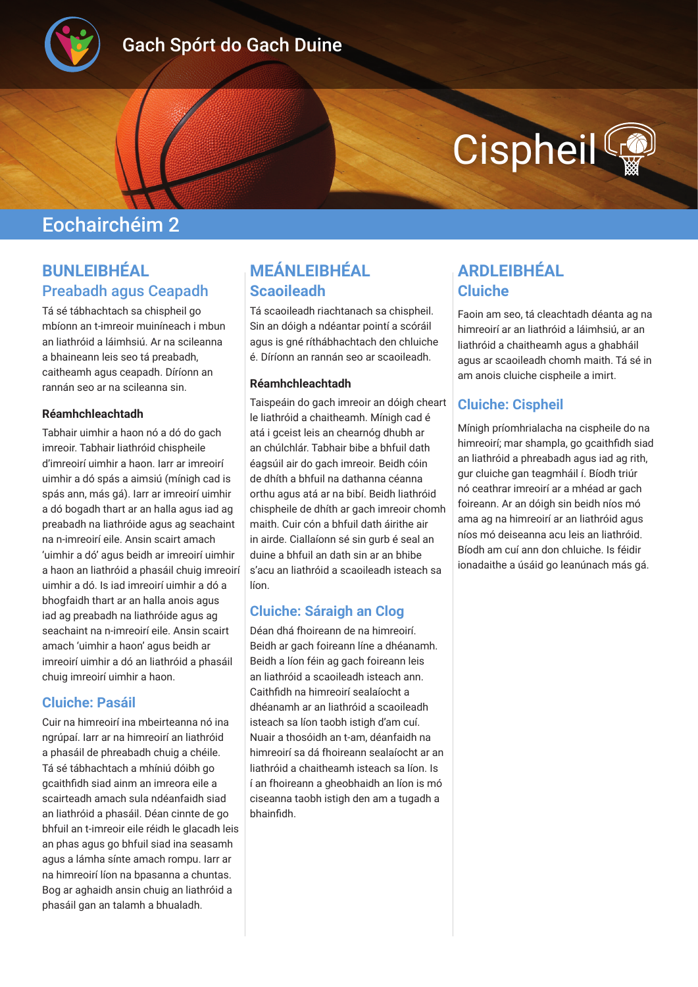

# Gach Spórt do Gach Duine

# Cispheil

# Eochairchéim 2

## **BUNLEIBHÉAL**  Preabadh agus Ceapadh

Tá sé tábhachtach sa chispheil go mbíonn an t-imreoir muiníneach i mbun an liathróid a láimhsiú. Ar na scileanna a bhaineann leis seo tá preabadh, caitheamh agus ceapadh. Díríonn an rannán seo ar na scileanna sin.

#### **Réamhchleachtadh**

Tabhair uimhir a haon nó a dó do gach imreoir. Tabhair liathróid chispheile d'imreoirí uimhir a haon. Iarr ar imreoirí uimhir a dó spás a aimsiú (mínigh cad is spás ann, más gá). Iarr ar imreoirí uimhir a dó bogadh thart ar an halla agus iad ag preabadh na liathróide agus ag seachaint na n-imreoirí eile. Ansin scairt amach 'uimhir a dó' agus beidh ar imreoirí uimhir a haon an liathróid a phasáil chuig imreoirí uimhir a dó. Is iad imreoirí uimhir a dó a bhogfaidh thart ar an halla anois agus iad ag preabadh na liathróide agus ag seachaint na n-imreoirí eile. Ansin scairt amach 'uimhir a haon' agus beidh ar imreoirí uimhir a dó an liathróid a phasáil chuig imreoirí uimhir a haon.

#### **Cluiche: Pasáil**

Cuir na himreoirí ina mbeirteanna nó ina ngrúpaí. Iarr ar na himreoirí an liathróid a phasáil de phreabadh chuig a chéile. Tá sé tábhachtach a mhíniú dóibh go gcaithfidh siad ainm an imreora eile a scairteadh amach sula ndéanfaidh siad an liathróid a phasáil. Déan cinnte de go bhfuil an t-imreoir eile réidh le glacadh leis an phas agus go bhfuil siad ina seasamh agus a lámha sínte amach rompu. Iarr ar na himreoirí líon na bpasanna a chuntas. Bog ar aghaidh ansin chuig an liathróid a phasáil gan an talamh a bhualadh.

# **MEÁNLEIBHÉAL Scaoileadh**

Tá scaoileadh riachtanach sa chispheil. Sin an dóigh a ndéantar pointí a scóráil agus is gné ríthábhachtach den chluiche é. Díríonn an rannán seo ar scaoileadh.

#### **Réamhchleachtadh**

Taispeáin do gach imreoir an dóigh cheart le liathróid a chaitheamh. Mínigh cad é atá i gceist leis an chearnóg dhubh ar an chúlchlár. Tabhair bibe a bhfuil dath éagsúil air do gach imreoir. Beidh cóin de dhíth a bhfuil na dathanna céanna orthu agus atá ar na bibí. Beidh liathróid chispheile de dhíth ar gach imreoir chomh maith. Cuir cón a bhfuil dath áirithe air in airde. Ciallaíonn sé sin gurb é seal an duine a bhfuil an dath sin ar an bhibe s'acu an liathróid a scaoileadh isteach sa líon.

#### **Cluiche: Sáraigh an Clog**

Déan dhá fhoireann de na himreoirí. Beidh ar gach foireann líne a dhéanamh. Beidh a líon féin ag gach foireann leis an liathróid a scaoileadh isteach ann. Caithfidh na himreoirí sealaíocht a dhéanamh ar an liathróid a scaoileadh isteach sa líon taobh istigh d'am cuí. Nuair a thosóidh an t-am, déanfaidh na himreoirí sa dá fhoireann sealaíocht ar an liathróid a chaitheamh isteach sa líon. Is í an fhoireann a gheobhaidh an líon is mó ciseanna taobh istigh den am a tugadh a bhainfidh.

# **ARDLEIBHÉAL Cluiche**

Faoin am seo, tá cleachtadh déanta ag na himreoirí ar an liathróid a láimhsiú, ar an liathróid a chaitheamh agus a ghabháil agus ar scaoileadh chomh maith. Tá sé in am anois cluiche cispheile a imirt.

#### **Cluiche: Cispheil**

Mínigh príomhrialacha na cispheile do na himreoirí; mar shampla, go gcaithfidh siad an liathróid a phreabadh agus iad ag rith, gur cluiche gan teagmháil í. Bíodh triúr nó ceathrar imreoirí ar a mhéad ar gach foireann. Ar an dóigh sin beidh níos mó ama ag na himreoirí ar an liathróid agus níos mó deiseanna acu leis an liathróid. Bíodh am cuí ann don chluiche. Is féidir ionadaithe a úsáid go leanúnach más gá.